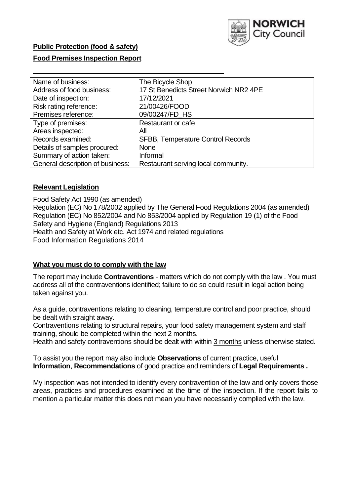

### **Public Protection (food & safety)**

### **Food Premises Inspection Report**

| Name of business:                | The Bicycle Shop                         |
|----------------------------------|------------------------------------------|
| Address of food business:        | 17 St Benedicts Street Norwich NR2 4PE   |
| Date of inspection:              | 17/12/2021                               |
| Risk rating reference:           | 21/00426/FOOD                            |
| Premises reference:              | 09/00247/FD HS                           |
| Type of premises:                | Restaurant or cafe                       |
| Areas inspected:                 | All                                      |
| Records examined:                | <b>SFBB, Temperature Control Records</b> |
| Details of samples procured:     | <b>None</b>                              |
| Summary of action taken:         | Informal                                 |
| General description of business: | Restaurant serving local community.      |

### **Relevant Legislation**

 Food Safety Act 1990 (as amended) Regulation (EC) No 178/2002 applied by The General Food Regulations 2004 (as amended) Regulation (EC) No 852/2004 and No 853/2004 applied by Regulation 19 (1) of the Food Safety and Hygiene (England) Regulations 2013 Health and Safety at Work etc. Act 1974 and related regulations Food Information Regulations 2014

#### **What you must do to comply with the law**

 The report may include **Contraventions** - matters which do not comply with the law . You must address all of the contraventions identified; failure to do so could result in legal action being taken against you.

 As a guide, contraventions relating to cleaning, temperature control and poor practice, should be dealt with straight away.

 Contraventions relating to structural repairs, your food safety management system and staff training, should be completed within the next 2 months.

Health and safety contraventions should be dealt with within 3 months unless otherwise stated.

 To assist you the report may also include **Observations** of current practice, useful **Information**, **Recommendations** of good practice and reminders of **Legal Requirements .** 

 My inspection was not intended to identify every contravention of the law and only covers those areas, practices and procedures examined at the time of the inspection. If the report fails to mention a particular matter this does not mean you have necessarily complied with the law.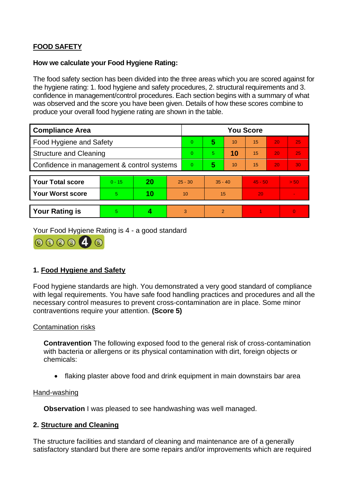# **FOOD SAFETY**

### **How we calculate your Food Hygiene Rating:**

 The food safety section has been divided into the three areas which you are scored against for the hygiene rating: 1. food hygiene and safety procedures, 2. structural requirements and 3. confidence in management/control procedures. Each section begins with a summary of what was observed and the score you have been given. Details of how these scores combine to produce your overall food hygiene rating are shown in the table.

| <b>Compliance Area</b>                     |          |    |           | <b>You Score</b> |                |    |           |    |                |  |  |
|--------------------------------------------|----------|----|-----------|------------------|----------------|----|-----------|----|----------------|--|--|
| <b>Food Hygiene and Safety</b>             |          |    |           | $\overline{0}$   | 5              | 10 | 15        | 20 | 25             |  |  |
| <b>Structure and Cleaning</b>              |          |    |           | $\Omega$         | 5.             | 10 | 15        | 20 | 25             |  |  |
| Confidence in management & control systems |          |    | $\Omega$  | 5                | 10             | 15 | 20        | 30 |                |  |  |
|                                            |          |    |           |                  |                |    |           |    |                |  |  |
| <b>Your Total score</b>                    | $0 - 15$ | 20 | $25 - 30$ |                  | $35 - 40$      |    | $45 - 50$ |    | > 50           |  |  |
| Your Worst score                           | 5.       | 10 | 10        |                  | 15             |    | 20        |    | $\blacksquare$ |  |  |
|                                            |          |    |           |                  |                |    |           |    |                |  |  |
| <b>Your Rating is</b>                      | 5        |    |           | 3                | $\overline{2}$ |    |           |    | $\overline{0}$ |  |  |

Your Food Hygiene Rating is 4 - a good standard



# **1. Food Hygiene and Safety**

 with legal requirements. You have safe food handling practices and procedures and all the Food hygiene standards are high. You demonstrated a very good standard of compliance necessary control measures to prevent cross-contamination are in place. Some minor contraventions require your attention. **(Score 5)** 

### Contamination risks

 with bacteria or allergens or its physical contamination with dirt, foreign objects or **Contravention** The following exposed food to the general risk of cross-contamination chemicals:

• flaking plaster above food and drink equipment in main downstairs bar area

### Hand-washing

**Observation I** was pleased to see handwashing was well managed.

### **2. Structure and Cleaning**

 satisfactory standard but there are some repairs and/or improvements which are required The structure facilities and standard of cleaning and maintenance are of a generally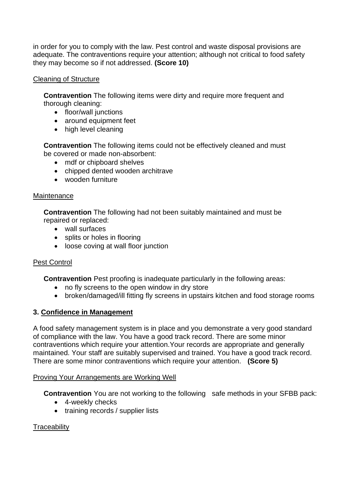in order for you to comply with the law. Pest control and waste disposal provisions are adequate. The contraventions require your attention; although not critical to food safety they may become so if not addressed. **(Score 10)** 

### Cleaning of Structure

**Contravention** The following items were dirty and require more frequent and thorough cleaning:

- floor/wall junctions
- around equipment feet
- high level cleaning

**Contravention** The following items could not be effectively cleaned and must be covered or made non-absorbent:

- mdf or chipboard shelves
- chipped dented wooden architrave
- wooden furniture

### **Maintenance**

**Contravention** The following had not been suitably maintained and must be repaired or replaced:

- wall surfaces
- splits or holes in flooring
- loose coving at wall floor junction

# Pest Control

**Contravention** Pest proofing is inadequate particularly in the following areas:

- no fly screens to the open window in dry store
- broken/damaged/ill fitting fly screens in upstairs kitchen and food storage rooms

# **3. Confidence in Management**

 of compliance with the law. You have a good track record. There are some minor maintained. Your staff are suitably supervised and trained. You have a good track record. A food safety management system is in place and you demonstrate a very good standard contraventions which require your attention.Your records are appropriate and generally There are some minor contraventions which require your attention. **(Score 5)** 

### Proving Your Arrangements are Working Well

**Contravention** You are not working to the following safe methods in your SFBB pack:

- 4-weekly checks
- training records / supplier lists

# **Traceability**